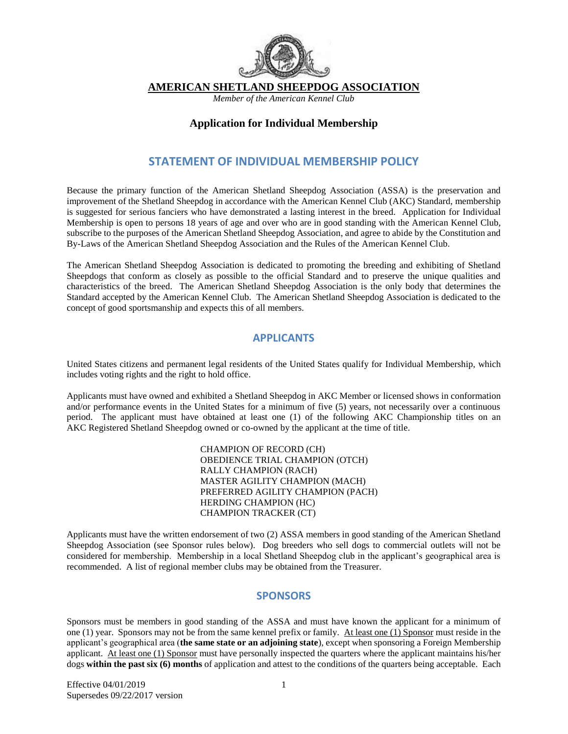

**AMERICAN SHETLAND SHEEPDOG ASSOCIATION** 

*Member of the American Kennel Club* 

#### **Application for Individual Membership**

## **STATEMENT OF INDIVIDUAL MEMBERSHIP POLICY**

Because the primary function of the American Shetland Sheepdog Association (ASSA) is the preservation and improvement of the Shetland Sheepdog in accordance with the American Kennel Club (AKC) Standard, membership is suggested for serious fanciers who have demonstrated a lasting interest in the breed. Application for Individual Membership is open to persons 18 years of age and over who are in good standing with the American Kennel Club, subscribe to the purposes of the American Shetland Sheepdog Association, and agree to abide by the Constitution and By-Laws of the American Shetland Sheepdog Association and the Rules of the American Kennel Club.

The American Shetland Sheepdog Association is dedicated to promoting the breeding and exhibiting of Shetland Sheepdogs that conform as closely as possible to the official Standard and to preserve the unique qualities and characteristics of the breed. The American Shetland Sheepdog Association is the only body that determines the Standard accepted by the American Kennel Club. The American Shetland Sheepdog Association is dedicated to the concept of good sportsmanship and expects this of all members.

## **APPLICANTS**

United States citizens and permanent legal residents of the United States qualify for Individual Membership, which includes voting rights and the right to hold office.

Applicants must have owned and exhibited a Shetland Sheepdog in AKC Member or licensed shows in conformation and/or performance events in the United States for a minimum of five (5) years, not necessarily over a continuous period. The applicant must have obtained at least one (1) of the following AKC Championship titles on an AKC Registered Shetland Sheepdog owned or co-owned by the applicant at the time of title.

> CHAMPION OF RECORD (CH) OBEDIENCE TRIAL CHAMPION (OTCH) RALLY CHAMPION (RACH) MASTER AGILITY CHAMPION (MACH) PREFERRED AGILITY CHAMPION (PACH) HERDING CHAMPION (HC) CHAMPION TRACKER (CT)

Applicants must have the written endorsement of two (2) ASSA members in good standing of the American Shetland Sheepdog Association (see Sponsor rules below). Dog breeders who sell dogs to commercial outlets will not be considered for membership. Membership in a local Shetland Sheepdog club in the applicant's geographical area is recommended. A list of regional member clubs may be obtained from the Treasurer.

#### **SPONSORS**

Sponsors must be members in good standing of the ASSA and must have known the applicant for a minimum of one (1) year. Sponsors may not be from the same kennel prefix or family. At least one (1) Sponsor must reside in the applicant's geographical area (**the same state or an adjoining state**), except when sponsoring a Foreign Membership applicant. At least one (1) Sponsor must have personally inspected the quarters where the applicant maintains his/her dogs **within the past six (6) months** of application and attest to the conditions of the quarters being acceptable. Each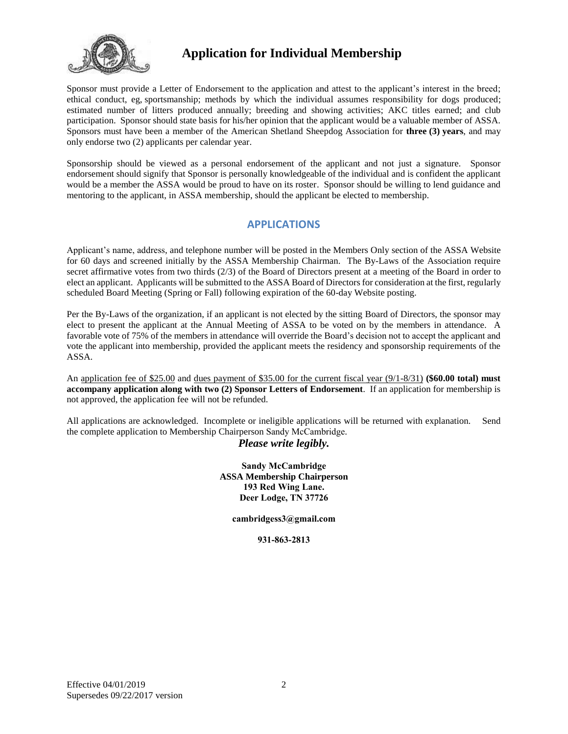

Sponsor must provide a Letter of Endorsement to the application and attest to the applicant's interest in the breed; ethical conduct, eg, sportsmanship; methods by which the individual assumes responsibility for dogs produced; estimated number of litters produced annually; breeding and showing activities; AKC titles earned; and club participation. Sponsor should state basis for his/her opinion that the applicant would be a valuable member of ASSA. Sponsors must have been a member of the American Shetland Sheepdog Association for **three (3) years**, and may only endorse two (2) applicants per calendar year.

Sponsorship should be viewed as a personal endorsement of the applicant and not just a signature. Sponsor endorsement should signify that Sponsor is personally knowledgeable of the individual and is confident the applicant would be a member the ASSA would be proud to have on its roster. Sponsor should be willing to lend guidance and mentoring to the applicant, in ASSA membership, should the applicant be elected to membership.

## **APPLICATIONS**

Applicant's name, address, and telephone number will be posted in the Members Only section of the ASSA Website for 60 days and screened initially by the ASSA Membership Chairman. The By-Laws of the Association require secret affirmative votes from two thirds (2/3) of the Board of Directors present at a meeting of the Board in order to elect an applicant. Applicants will be submitted to the ASSA Board of Directors for consideration at the first, regularly scheduled Board Meeting (Spring or Fall) following expiration of the 60-day Website posting.

Per the By-Laws of the organization, if an applicant is not elected by the sitting Board of Directors, the sponsor may elect to present the applicant at the Annual Meeting of ASSA to be voted on by the members in attendance. A favorable vote of 75% of the members in attendance will override the Board's decision not to accept the applicant and vote the applicant into membership, provided the applicant meets the residency and sponsorship requirements of the ASSA.

An application fee of \$25.00 and dues payment of \$35.00 for the current fiscal year (9/1-8/31) **(\$60.00 total) must accompany application along with two (2) Sponsor Letters of Endorsement**. If an application for membership is not approved, the application fee will not be refunded.

All applications are acknowledged. Incomplete or ineligible applications will be returned with explanation. Send the complete application to Membership Chairperson Sandy McCambridge.

#### *Please write legibly.*

**Sandy McCambridge ASSA Membership Chairperson 193 Red Wing Lane. Deer Lodge, TN 37726**

**ca[mbridgess3@gmail.c](mailto:sheltie@mctag.com)om**

**931-863-2813**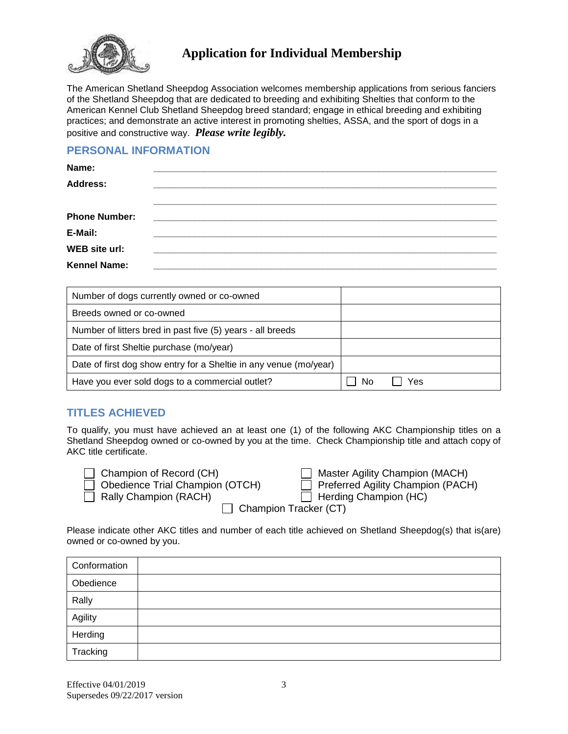

The American Shetland Sheepdog Association welcomes membership applications from serious fanciers of the Shetland Sheepdog that are dedicated to breeding and exhibiting Shelties that conform to the American Kennel Club Shetland Sheepdog breed standard; engage in ethical breeding and exhibiting practices; and demonstrate an active interest in promoting shelties, ASSA, and the sport of dogs in a positive and constructive way. *Please write legibly.*

## **PERSONAL INFORMATION**

| Name:                |                                                                                                                       |  |  |
|----------------------|-----------------------------------------------------------------------------------------------------------------------|--|--|
| <b>Address:</b>      |                                                                                                                       |  |  |
|                      |                                                                                                                       |  |  |
| <b>Phone Number:</b> |                                                                                                                       |  |  |
| E-Mail:              |                                                                                                                       |  |  |
| <b>WEB</b> site url: | <u> 1980 - Jan Alexandri, martxa alexandri, martxa alexandri, martxa alexandri, martxa alexandri, martxa alexandr</u> |  |  |
| <b>Kennel Name:</b>  |                                                                                                                       |  |  |

| Number of dogs currently owned or co-owned                        |           |
|-------------------------------------------------------------------|-----------|
| Breeds owned or co-owned                                          |           |
| Number of litters bred in past five (5) years - all breeds        |           |
| Date of first Sheltie purchase (mo/year)                          |           |
| Date of first dog show entry for a Sheltie in any venue (mo/year) |           |
| Have you ever sold dogs to a commercial outlet?                   | Nο<br>Yes |

# **TITLES ACHIEVED**

To qualify, you must have achieved an at least one (1) of the following AKC Championship titles on a Shetland Sheepdog owned or co-owned by you at the time. Check Championship title and attach copy of AKC title certificate.

| Champion of Record (CH)         | Master Agility Champion (MACH)           |
|---------------------------------|------------------------------------------|
| Obedience Trial Champion (OTCH) | $\Box$ Preferred Agility Champion (PACH) |

| __ Preferred Agility Ch                                    |
|------------------------------------------------------------|
| → Little and the conflict of District Contract of the U.S. |

 $\Box$  Rally Champion (RACH)  $\Box$  Herding Champion (HC)

 $\Box$  Champion Tracker (CT)

Please indicate other AKC titles and number of each title achieved on Shetland Sheepdog(s) that is(are) owned or co-owned by you.

| Conformation |  |
|--------------|--|
| Obedience    |  |
| Rally        |  |
| Agility      |  |
| Herding      |  |
| Tracking     |  |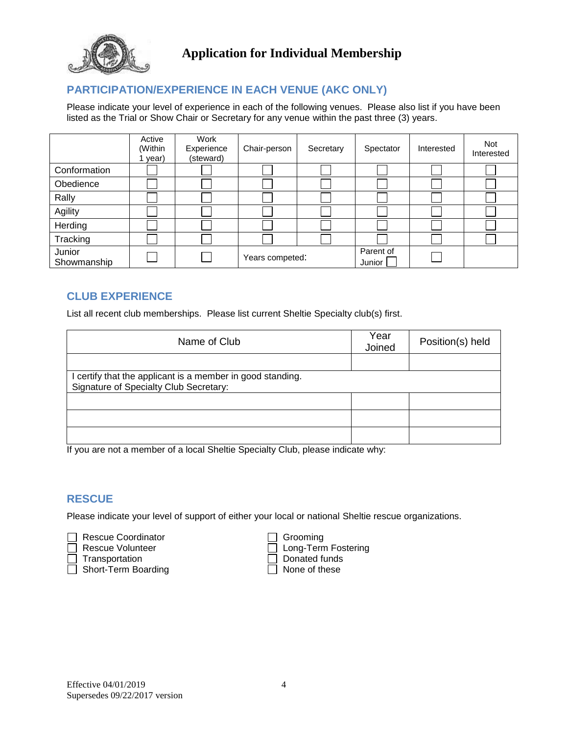

# **PARTICIPATION/EXPERIENCE IN EACH VENUE (AKC ONLY)**

Please indicate your level of experience in each of the following venues. Please also list if you have been listed as the Trial or Show Chair or Secretary for any venue within the past three (3) years.

|                       | Active<br>(Within<br>year) | Work<br>Experience<br>(steward) | Chair-person    | Secretary | Spectator           | Interested | Not<br>Interested |
|-----------------------|----------------------------|---------------------------------|-----------------|-----------|---------------------|------------|-------------------|
| Conformation          |                            |                                 |                 |           |                     |            |                   |
| Obedience             |                            |                                 |                 |           |                     |            |                   |
| Rally                 |                            |                                 |                 |           |                     |            |                   |
| Agility               |                            |                                 |                 |           |                     |            |                   |
| Herding               |                            |                                 |                 |           |                     |            |                   |
| Tracking              |                            |                                 |                 |           |                     |            |                   |
| Junior<br>Showmanship |                            |                                 | Years competed: |           | Parent of<br>Junior |            |                   |

## **CLUB EXPERIENCE**

List all recent club memberships. Please list current Sheltie Specialty club(s) first.

| Name of Club                                               | Year<br>Joined | Position(s) held |
|------------------------------------------------------------|----------------|------------------|
|                                                            |                |                  |
| I certify that the applicant is a member in good standing. |                |                  |
| Signature of Specialty Club Secretary:                     |                |                  |
|                                                            |                |                  |
|                                                            |                |                  |
|                                                            |                |                  |

If you are not a member of a local Sheltie Specialty Club, please indicate why:

#### **RESCUE**

Please indicate your level of support of either your local or national Sheltie rescue organizations.

Rescue Coordinator<br>
Rescue Volunteer
Grooming

Rescue Volunteer

Grooming

Crooming

Crooming

Crooming

Crooming

Crooming

Crooming

Crooming

Crooming

Crooming

Crooming

Crooming

Crooming

Crooming

Crooming

Croomin Transportation <br>
Short-Term Boarding 
<br>
Donated funds<br>  $\Box$  None of these  $\Box$  Short-Term Boarding

Long-Term Fostering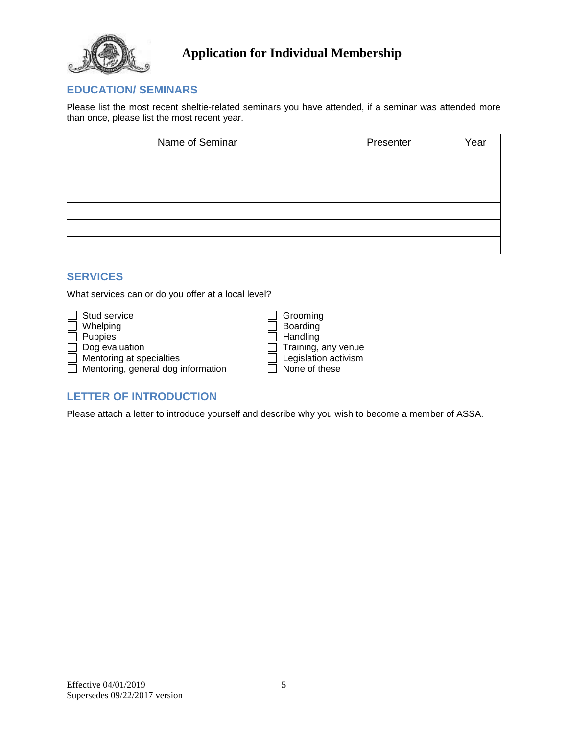

# **EDUCATION/ SEMINARS**

Please list the most recent sheltie-related seminars you have attended, if a seminar was attended more than once, please list the most recent year.

| Name of Seminar | Presenter | Year |
|-----------------|-----------|------|
|                 |           |      |
|                 |           |      |
|                 |           |      |
|                 |           |      |
|                 |           |      |
|                 |           |      |

## **SERVICES**

What services can or do you offer at a local level?

| Stud service                       | Grooming                   |
|------------------------------------|----------------------------|
| Whelping                           | Boarding                   |
| <b>Puppies</b>                     | Handling                   |
| Dog evaluation                     | $\Box$ Training, any venue |
| Mentoring at specialties           | Legislation activism       |
| Mentoring, general dog information | None of these              |

| Grooming             |
|----------------------|
| Boarding             |
| Handling             |
| Training, any venue  |
| Legislation activism |
| None of these        |
|                      |

# **LETTER OF INTRODUCTION**

Please attach a letter to introduce yourself and describe why you wish to become a member of ASSA.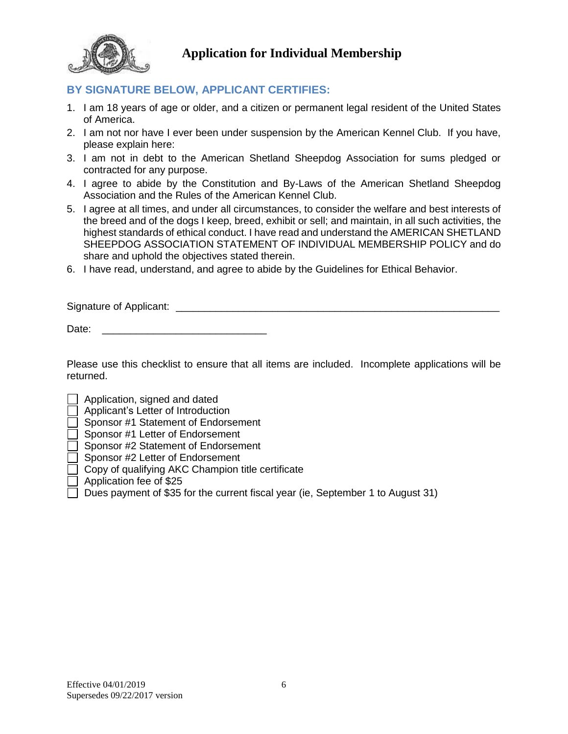

# **BY SIGNATURE BELOW, APPLICANT CERTIFIES:**

- 1. I am 18 years of age or older, and a citizen or permanent legal resident of the United States of America.
- 2. I am not nor have I ever been under suspension by the American Kennel Club. If you have, please explain here:
- 3. I am not in debt to the American Shetland Sheepdog Association for sums pledged or contracted for any purpose.
- 4. I agree to abide by the Constitution and By-Laws of the American Shetland Sheepdog Association and the Rules of the American Kennel Club.
- 5. I agree at all times, and under all circumstances, to consider the welfare and best interests of the breed and of the dogs I keep, breed, exhibit or sell; and maintain, in all such activities, the highest standards of ethical conduct. I have read and understand the AMERICAN SHETLAND SHEEPDOG ASSOCIATION STATEMENT OF INDIVIDUAL MEMBERSHIP POLICY and do share and uphold the objectives stated therein.
- 6. I have read, understand, and agree to abide by the Guidelines for Ethical Behavior.

Signature of Applicant:  $\Box$ 

Date:

Please use this checklist to ensure that all items are included. Incomplete applications will be returned.

Application, signed and dated

- Applicant's Letter of Introduction
- Sponsor #1 Statement of Endorsement
- Sponsor #1 Letter of Endorsement

Sponsor #2 Statement of Endorsement

- Sponsor #2 Letter of Endorsement
- Copy of qualifying AKC Champion title certificate
- Application fee of \$25
- $\Box$  Dues payment of \$35 for the current fiscal year (ie, September 1 to August 31)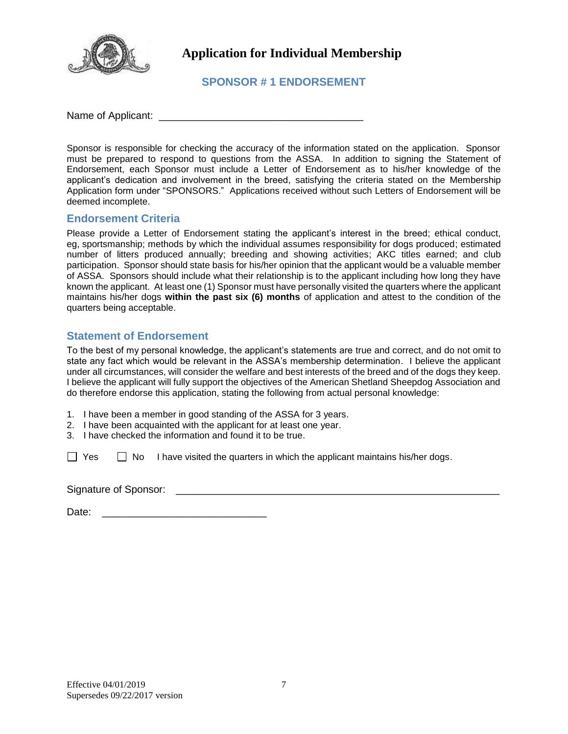

**SPONSOR # 1 ENDORSEMENT** 

Name of Applicant: \_\_\_\_\_\_\_\_\_\_\_\_\_\_\_\_\_\_\_\_\_\_\_\_\_\_\_\_\_\_\_\_\_\_\_\_

Sponsor is responsible for checking the accuracy of the information stated on the application. Sponsor must be prepared to respond to questions from the ASSA. In addition to signing the Statement of Endorsement, each Sponsor must include a Letter of Endorsement as to his/her knowledge of the applicant's dedication and involvement in the breed, satisfying the criteria stated on the Membership Application form under "SPONSORS." Applications received without such Letters of Endorsement will be deemed incomplete.

#### **Endorsement Criteria**

Please provide a Letter of Endorsement stating the applicant's interest in the breed; ethical conduct, eg, sportsmanship; methods by which the individual assumes responsibility for dogs produced; estimated number of litters produced annually; breeding and showing activities; AKC titles earned; and club participation. Sponsor should state basis for his/her opinion that the applicant would be a valuable member of ASSA. Sponsors should include what their relationship is to the applicant including how long they have known the applicant. At least one (1) Sponsor must have personally visited the quarters where the applicant maintains his/her dogs **within the past six (6) months** of application and attest to the condition of the quarters being acceptable.

## **Statement of Endorsement**

To the best of my personal knowledge, the applicant's statements are true and correct, and do not omit to state any fact which would be relevant in the ASSA's membership determination. I believe the applicant under all circumstances, will consider the welfare and best interests of the breed and of the dogs they keep. I believe the applicant will fully support the objectives of the American Shetland Sheepdog Association and do therefore endorse this application, stating the following from actual personal knowledge:

- 1. I have been a member in good standing of the ASSA for 3 years.
- 2. I have been acquainted with the applicant for at least one year.
- 3. I have checked the information and found it to be true.

 $\Box$  Yes  $\Box$  No I have visited the quarters in which the applicant maintains his/her dogs.

Signature of Sponsor: